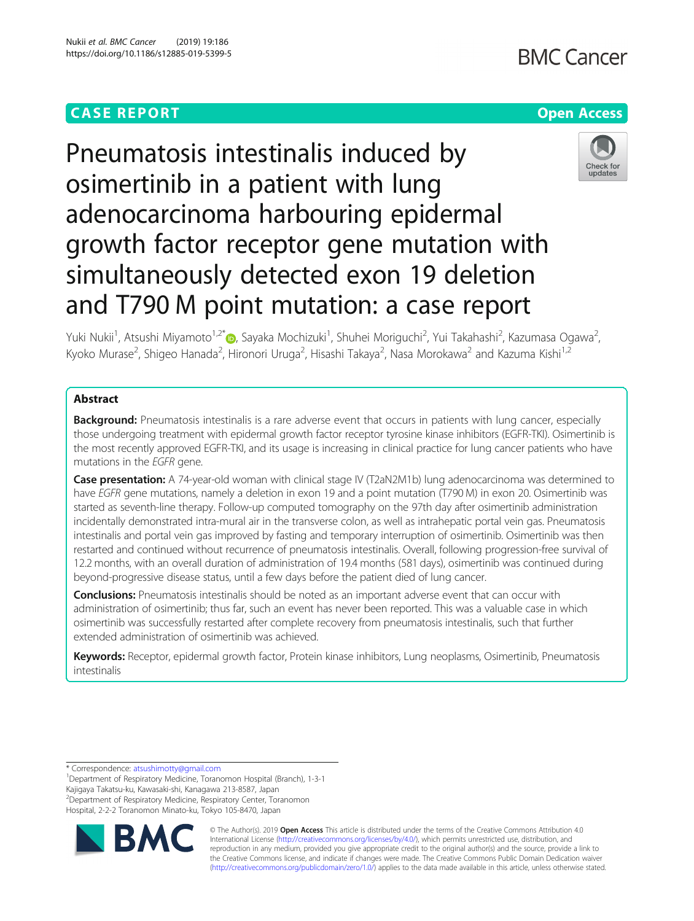# **CASE REPORT CASE REPORT CASE REPORT**





Pneumatosis intestinalis induced by osimertinib in a patient with lung adenocarcinoma harbouring epidermal growth factor receptor gene mutation with simultaneously detected exon 19 deletion and T790 M point mutation: a case report

Yuki Nukii<sup>1</sup>[,](http://orcid.org/0000-0002-3444-0536) Atsushi Miyamoto<sup>1,2\*</sup>®, Sayaka Mochizuki<sup>1</sup>, Shuhei Moriguchi<sup>2</sup>, Yui Takahashi<sup>2</sup>, Kazumasa Ogawa<sup>2</sup> .<br>, Kyoko Murase<sup>2</sup>, Shigeo Hanada<sup>2</sup>, Hironori Uruga<sup>2</sup>, Hisashi Takaya<sup>2</sup>, Nasa Morokawa<sup>2</sup> and Kazuma Kishi<sup>1,2</sup>

# Abstract

**Background:** Pneumatosis intestinalis is a rare adverse event that occurs in patients with lung cancer, especially those undergoing treatment with epidermal growth factor receptor tyrosine kinase inhibitors (EGFR-TKI). Osimertinib is the most recently approved EGFR-TKI, and its usage is increasing in clinical practice for lung cancer patients who have mutations in the EGFR gene.

Case presentation: A 74-year-old woman with clinical stage IV (T2aN2M1b) lung adenocarcinoma was determined to have EGFR gene mutations, namely a deletion in exon 19 and a point mutation (T790 M) in exon 20. Osimertinib was started as seventh-line therapy. Follow-up computed tomography on the 97th day after osimertinib administration incidentally demonstrated intra-mural air in the transverse colon, as well as intrahepatic portal vein gas. Pneumatosis intestinalis and portal vein gas improved by fasting and temporary interruption of osimertinib. Osimertinib was then restarted and continued without recurrence of pneumatosis intestinalis. Overall, following progression-free survival of 12.2 months, with an overall duration of administration of 19.4 months (581 days), osimertinib was continued during beyond-progressive disease status, until a few days before the patient died of lung cancer.

**Conclusions:** Pneumatosis intestinalis should be noted as an important adverse event that can occur with administration of osimertinib; thus far, such an event has never been reported. This was a valuable case in which osimertinib was successfully restarted after complete recovery from pneumatosis intestinalis, such that further extended administration of osimertinib was achieved.

Keywords: Receptor, epidermal growth factor, Protein kinase inhibitors, Lung neoplasms, Osimertinib, Pneumatosis intestinalis

\* Correspondence: [atsushimotty@gmail.com](mailto:atsushimotty@gmail.com) <sup>1</sup>

Department of Respiratory Medicine, Toranomon Hospital (Branch), 1-3-1 Kajigaya Takatsu-ku, Kawasaki-shi, Kanagawa 213-8587, Japan 2 Department of Respiratory Medicine, Respiratory Center, Toranomon Hospital, 2-2-2 Toranomon Minato-ku, Tokyo 105-8470, Japan



© The Author(s). 2019 **Open Access** This article is distributed under the terms of the Creative Commons Attribution 4.0 International License [\(http://creativecommons.org/licenses/by/4.0/](http://creativecommons.org/licenses/by/4.0/)), which permits unrestricted use, distribution, and reproduction in any medium, provided you give appropriate credit to the original author(s) and the source, provide a link to the Creative Commons license, and indicate if changes were made. The Creative Commons Public Domain Dedication waiver [\(http://creativecommons.org/publicdomain/zero/1.0/](http://creativecommons.org/publicdomain/zero/1.0/)) applies to the data made available in this article, unless otherwise stated.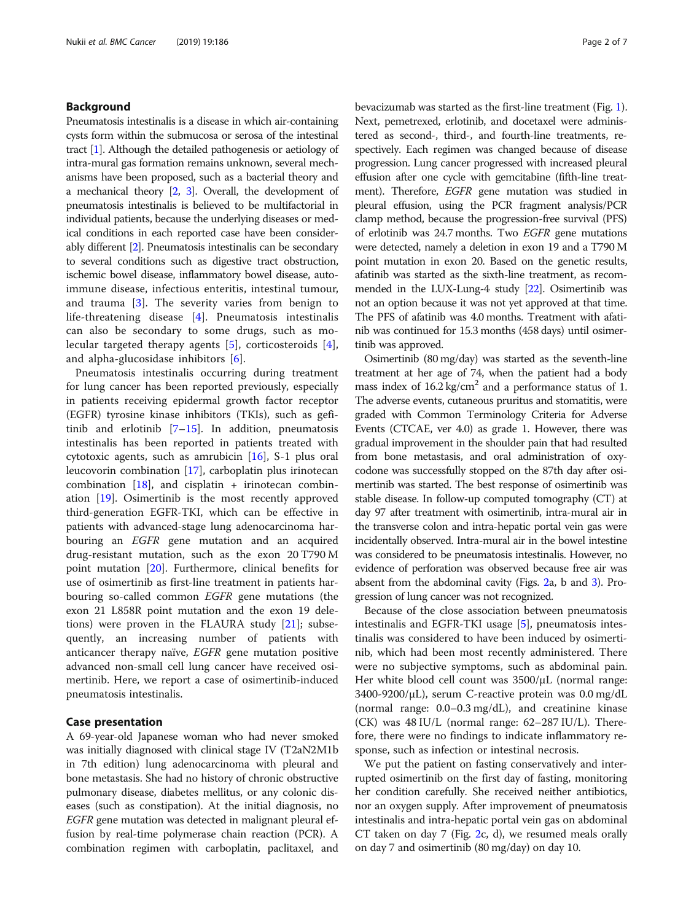# Background

Pneumatosis intestinalis is a disease in which air-containing cysts form within the submucosa or serosa of the intestinal tract [\[1](#page-5-0)]. Although the detailed pathogenesis or aetiology of intra-mural gas formation remains unknown, several mechanisms have been proposed, such as a bacterial theory and a mechanical theory [\[2,](#page-5-0) [3](#page-5-0)]. Overall, the development of pneumatosis intestinalis is believed to be multifactorial in individual patients, because the underlying diseases or medical conditions in each reported case have been considerably different [\[2](#page-5-0)]. Pneumatosis intestinalis can be secondary to several conditions such as digestive tract obstruction, ischemic bowel disease, inflammatory bowel disease, autoimmune disease, infectious enteritis, intestinal tumour, and trauma [[3\]](#page-5-0). The severity varies from benign to life-threatening disease [[4\]](#page-5-0). Pneumatosis intestinalis can also be secondary to some drugs, such as molecular targeted therapy agents [\[5](#page-5-0)], corticosteroids [\[4](#page-5-0)], and alpha-glucosidase inhibitors [[6\]](#page-5-0).

Pneumatosis intestinalis occurring during treatment for lung cancer has been reported previously, especially in patients receiving epidermal growth factor receptor (EGFR) tyrosine kinase inhibitors (TKIs), such as gefitinib and erlotinib [[7](#page-5-0)–[15](#page-5-0)]. In addition, pneumatosis intestinalis has been reported in patients treated with cytotoxic agents, such as amrubicin [[16\]](#page-5-0), S-1 plus oral leucovorin combination [\[17\]](#page-5-0), carboplatin plus irinotecan combination  $[18]$  $[18]$ , and cisplatin + irinotecan combination [[19](#page-5-0)]. Osimertinib is the most recently approved third-generation EGFR-TKI, which can be effective in patients with advanced-stage lung adenocarcinoma harbouring an EGFR gene mutation and an acquired drug-resistant mutation, such as the exon 20 T790 M point mutation [[20\]](#page-5-0). Furthermore, clinical benefits for use of osimertinib as first-line treatment in patients harbouring so-called common EGFR gene mutations (the exon 21 L858R point mutation and the exon 19 deletions) were proven in the FLAURA study [[21\]](#page-5-0); subsequently, an increasing number of patients with anticancer therapy naïve, EGFR gene mutation positive advanced non-small cell lung cancer have received osimertinib. Here, we report a case of osimertinib-induced pneumatosis intestinalis.

# Case presentation

A 69-year-old Japanese woman who had never smoked was initially diagnosed with clinical stage IV (T2aN2M1b in 7th edition) lung adenocarcinoma with pleural and bone metastasis. She had no history of chronic obstructive pulmonary disease, diabetes mellitus, or any colonic diseases (such as constipation). At the initial diagnosis, no EGFR gene mutation was detected in malignant pleural effusion by real-time polymerase chain reaction (PCR). A combination regimen with carboplatin, paclitaxel, and bevacizumab was started as the first-line treatment (Fig. [1](#page-2-0)). Next, pemetrexed, erlotinib, and docetaxel were administered as second-, third-, and fourth-line treatments, respectively. Each regimen was changed because of disease progression. Lung cancer progressed with increased pleural effusion after one cycle with gemcitabine (fifth-line treatment). Therefore, EGFR gene mutation was studied in pleural effusion, using the PCR fragment analysis/PCR clamp method, because the progression-free survival (PFS) of erlotinib was 24.7 months. Two EGFR gene mutations were detected, namely a deletion in exon 19 and a T790 M point mutation in exon 20. Based on the genetic results, afatinib was started as the sixth-line treatment, as recommended in the LUX-Lung-4 study [\[22\]](#page-5-0). Osimertinib was not an option because it was not yet approved at that time. The PFS of afatinib was 4.0 months. Treatment with afatinib was continued for 15.3 months (458 days) until osimertinib was approved.

Osimertinib (80 mg/day) was started as the seventh-line treatment at her age of 74, when the patient had a body mass index of  $16.2 \text{ kg/cm}^2$  and a performance status of 1. The adverse events, cutaneous pruritus and stomatitis, were graded with Common Terminology Criteria for Adverse Events (CTCAE, ver 4.0) as grade 1. However, there was gradual improvement in the shoulder pain that had resulted from bone metastasis, and oral administration of oxycodone was successfully stopped on the 87th day after osimertinib was started. The best response of osimertinib was stable disease. In follow-up computed tomography (CT) at day 97 after treatment with osimertinib, intra-mural air in the transverse colon and intra-hepatic portal vein gas were incidentally observed. Intra-mural air in the bowel intestine was considered to be pneumatosis intestinalis. However, no evidence of perforation was observed because free air was absent from the abdominal cavity (Figs. [2](#page-2-0)a, b and [3\)](#page-3-0). Progression of lung cancer was not recognized.

Because of the close association between pneumatosis intestinalis and EGFR-TKI usage [[5\]](#page-5-0), pneumatosis intestinalis was considered to have been induced by osimertinib, which had been most recently administered. There were no subjective symptoms, such as abdominal pain. Her white blood cell count was 3500/μL (normal range: 3400-9200/μL), serum C-reactive protein was 0.0 mg/dL (normal range: 0.0–0.3 mg/dL), and creatinine kinase (CK) was 48 IU/L (normal range: 62–287 IU/L). Therefore, there were no findings to indicate inflammatory response, such as infection or intestinal necrosis.

We put the patient on fasting conservatively and interrupted osimertinib on the first day of fasting, monitoring her condition carefully. She received neither antibiotics, nor an oxygen supply. After improvement of pneumatosis intestinalis and intra-hepatic portal vein gas on abdominal CT taken on day 7 (Fig. [2c](#page-2-0), d), we resumed meals orally on day 7 and osimertinib (80 mg/day) on day 10.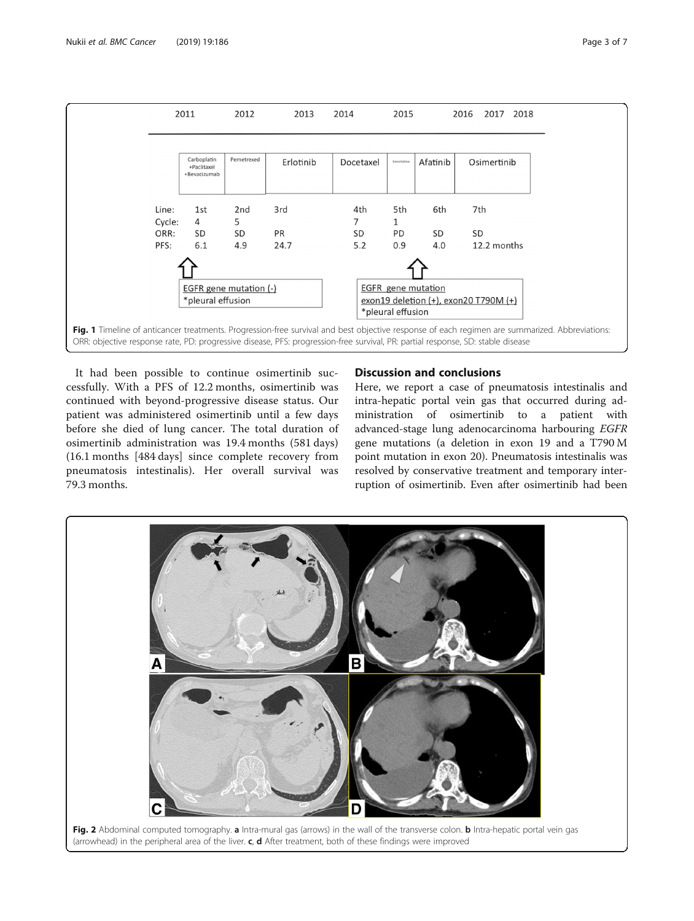<span id="page-2-0"></span>

It had been possible to continue osimertinib successfully. With a PFS of 12.2 months, osimertinib was continued with beyond-progressive disease status. Our patient was administered osimertinib until a few days before she died of lung cancer. The total duration of osimertinib administration was 19.4 months (581 days) (16.1 months [484 days] since complete recovery from pneumatosis intestinalis). Her overall survival was 79.3 months.

# Discussion and conclusions

Here, we report a case of pneumatosis intestinalis and intra-hepatic portal vein gas that occurred during administration of osimertinib to a patient with advanced-stage lung adenocarcinoma harbouring EGFR gene mutations (a deletion in exon 19 and a T790 M point mutation in exon 20). Pneumatosis intestinalis was resolved by conservative treatment and temporary interruption of osimertinib. Even after osimertinib had been

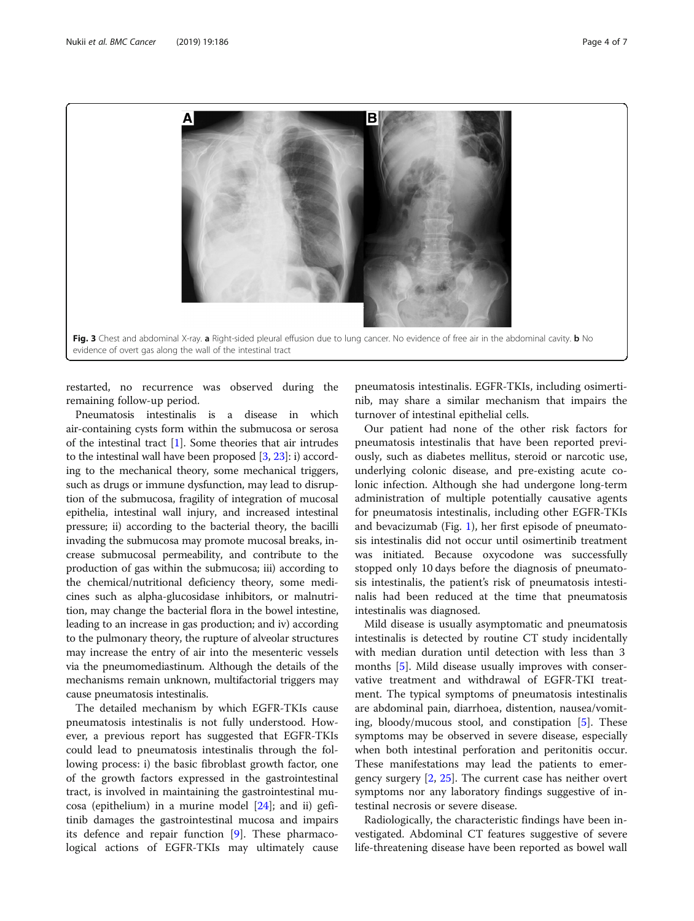<span id="page-3-0"></span>

restarted, no recurrence was observed during the remaining follow-up period.

Pneumatosis intestinalis is a disease in which air-containing cysts form within the submucosa or serosa of the intestinal tract  $[1]$  $[1]$ . Some theories that air intrudes to the intestinal wall have been proposed [\[3](#page-5-0), [23](#page-5-0)]: i) according to the mechanical theory, some mechanical triggers, such as drugs or immune dysfunction, may lead to disruption of the submucosa, fragility of integration of mucosal epithelia, intestinal wall injury, and increased intestinal pressure; ii) according to the bacterial theory, the bacilli invading the submucosa may promote mucosal breaks, increase submucosal permeability, and contribute to the production of gas within the submucosa; iii) according to the chemical/nutritional deficiency theory, some medicines such as alpha-glucosidase inhibitors, or malnutrition, may change the bacterial flora in the bowel intestine, leading to an increase in gas production; and iv) according to the pulmonary theory, the rupture of alveolar structures may increase the entry of air into the mesenteric vessels via the pneumomediastinum. Although the details of the mechanisms remain unknown, multifactorial triggers may cause pneumatosis intestinalis.

The detailed mechanism by which EGFR-TKIs cause pneumatosis intestinalis is not fully understood. However, a previous report has suggested that EGFR-TKIs could lead to pneumatosis intestinalis through the following process: i) the basic fibroblast growth factor, one of the growth factors expressed in the gastrointestinal tract, is involved in maintaining the gastrointestinal mucosa (epithelium) in a murine model [[24\]](#page-6-0); and ii) gefitinib damages the gastrointestinal mucosa and impairs its defence and repair function [[9\]](#page-5-0). These pharmacological actions of EGFR-TKIs may ultimately cause pneumatosis intestinalis. EGFR-TKIs, including osimertinib, may share a similar mechanism that impairs the turnover of intestinal epithelial cells.

Our patient had none of the other risk factors for pneumatosis intestinalis that have been reported previously, such as diabetes mellitus, steroid or narcotic use, underlying colonic disease, and pre-existing acute colonic infection. Although she had undergone long-term administration of multiple potentially causative agents for pneumatosis intestinalis, including other EGFR-TKIs and bevacizumab (Fig. [1\)](#page-2-0), her first episode of pneumatosis intestinalis did not occur until osimertinib treatment was initiated. Because oxycodone was successfully stopped only 10 days before the diagnosis of pneumatosis intestinalis, the patient's risk of pneumatosis intestinalis had been reduced at the time that pneumatosis intestinalis was diagnosed.

Mild disease is usually asymptomatic and pneumatosis intestinalis is detected by routine CT study incidentally with median duration until detection with less than 3 months [[5\]](#page-5-0). Mild disease usually improves with conservative treatment and withdrawal of EGFR-TKI treatment. The typical symptoms of pneumatosis intestinalis are abdominal pain, diarrhoea, distention, nausea/vomiting, bloody/mucous stool, and constipation [[5\]](#page-5-0). These symptoms may be observed in severe disease, especially when both intestinal perforation and peritonitis occur. These manifestations may lead the patients to emergency surgery [\[2](#page-5-0), [25](#page-6-0)]. The current case has neither overt symptoms nor any laboratory findings suggestive of intestinal necrosis or severe disease.

Radiologically, the characteristic findings have been investigated. Abdominal CT features suggestive of severe life-threatening disease have been reported as bowel wall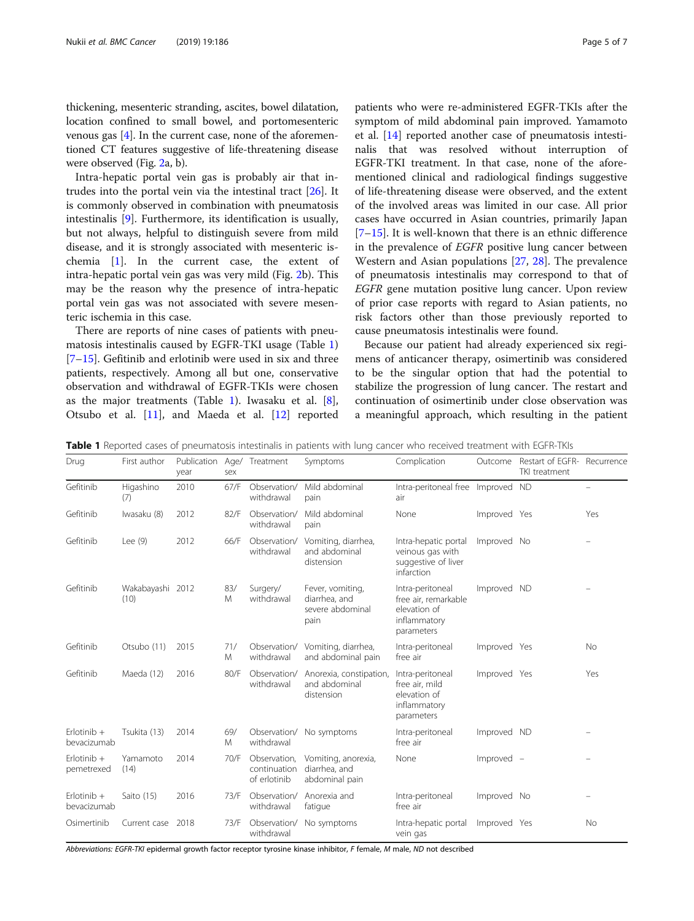thickening, mesenteric stranding, ascites, bowel dilatation, location confined to small bowel, and portomesenteric venous gas [\[4](#page-5-0)]. In the current case, none of the aforementioned CT features suggestive of life-threatening disease were observed (Fig. [2](#page-2-0)a, b).

Intra-hepatic portal vein gas is probably air that intrudes into the portal vein via the intestinal tract [[26](#page-6-0)]. It is commonly observed in combination with pneumatosis intestinalis [\[9](#page-5-0)]. Furthermore, its identification is usually, but not always, helpful to distinguish severe from mild disease, and it is strongly associated with mesenteric ischemia [\[1](#page-5-0)]. In the current case, the extent of intra-hepatic portal vein gas was very mild (Fig. [2](#page-2-0)b). This may be the reason why the presence of intra-hepatic portal vein gas was not associated with severe mesenteric ischemia in this case.

There are reports of nine cases of patients with pneumatosis intestinalis caused by EGFR-TKI usage (Table 1) [[7](#page-5-0)–[15\]](#page-5-0). Gefitinib and erlotinib were used in six and three patients, respectively. Among all but one, conservative observation and withdrawal of EGFR-TKIs were chosen as the major treatments (Table 1). Iwasaku et al. [\[8](#page-5-0)], Otsubo et al. [\[11](#page-5-0)], and Maeda et al. [\[12](#page-5-0)] reported

patients who were re-administered EGFR-TKIs after the symptom of mild abdominal pain improved. Yamamoto et al. [[14\]](#page-5-0) reported another case of pneumatosis intestinalis that was resolved without interruption of EGFR-TKI treatment. In that case, none of the aforementioned clinical and radiological findings suggestive of life-threatening disease were observed, and the extent of the involved areas was limited in our case. All prior cases have occurred in Asian countries, primarily Japan [[7](#page-5-0)–[15\]](#page-5-0). It is well-known that there is an ethnic difference in the prevalence of EGFR positive lung cancer between Western and Asian populations [[27,](#page-6-0) [28](#page-6-0)]. The prevalence of pneumatosis intestinalis may correspond to that of EGFR gene mutation positive lung cancer. Upon review of prior case reports with regard to Asian patients, no risk factors other than those previously reported to cause pneumatosis intestinalis were found.

Because our patient had already experienced six regimens of anticancer therapy, osimertinib was considered to be the singular option that had the potential to stabilize the progression of lung cancer. The restart and continuation of osimertinib under close observation was a meaningful approach, which resulting in the patient

Table 1 Reported cases of pneumatosis intestinalis in patients with lung cancer who received treatment with EGFR-TKIs

| Drug                          | First author             | Publication<br>year | sex      | Age/ Treatment                               | Symptoms                                                      | Complication                                                                           | Outcome      | Restart of EGFR- Recurrence<br>TKI treatment |           |
|-------------------------------|--------------------------|---------------------|----------|----------------------------------------------|---------------------------------------------------------------|----------------------------------------------------------------------------------------|--------------|----------------------------------------------|-----------|
| Gefitinib                     | Higashino<br>(7)         | 2010                | 67/F     | Observation/<br>withdrawal                   | Mild abdominal<br>pain                                        | Intra-peritoneal free<br>air                                                           | Improved     | <b>ND</b>                                    | L,        |
| Gefitinib                     | Iwasaku (8)              | 2012                | 82/F     | Observation/<br>withdrawal                   | Mild abdominal<br>pain                                        | None                                                                                   | Improved Yes |                                              | Yes       |
| Gefitinib                     | Lee $(9)$                | 2012                | 66/F     | Observation/<br>withdrawal                   | Vomiting, diarrhea,<br>and abdominal<br>distension            | Intra-hepatic portal<br>veinous gas with<br>suggestive of liver<br>infarction          | Improved No  |                                              |           |
| Gefitinib                     | Wakabayashi 2012<br>(10) |                     | 83/<br>M | Surgery/<br>withdrawal                       | Fever, vomiting,<br>diarrhea, and<br>severe abdominal<br>pain | Intra-peritoneal<br>free air, remarkable<br>elevation of<br>inflammatory<br>parameters | Improved ND  |                                              |           |
| Gefitinib                     | Otsubo (11)              | 2015                | 71/<br>M | Observation/<br>withdrawal                   | Vomiting, diarrhea,<br>and abdominal pain                     | Intra-peritoneal<br>free air                                                           | Improved Yes |                                              | <b>No</b> |
| Gefitinib                     | Maeda (12)               | 2016                | 80/F     | Observation/<br>withdrawal                   | Anorexia, constipation,<br>and abdominal<br>distension        | Intra-peritoneal<br>free air, mild<br>elevation of<br>inflammatory<br>parameters       | Improved Yes |                                              | Yes       |
| $E$ rlotinib +<br>bevacizumab | Tsukita (13)             | 2014                | 69/<br>M | withdrawal                                   | Observation/ No symptoms                                      | Intra-peritoneal<br>free air                                                           | Improved ND  |                                              |           |
| $Frlotinib +$<br>pemetrexed   | Yamamoto<br>(14)         | 2014                | 70/F     | Observation,<br>continuation<br>of erlotinib | Vomiting, anorexia,<br>diarrhea, and<br>abdominal pain        | None                                                                                   | Improved -   |                                              |           |
| $E$ rlotinib +<br>bevacizumab | Saito (15)               | 2016                | 73/F     | Observation/<br>withdrawal                   | Anorexia and<br>fatique                                       | Intra-peritoneal<br>free air                                                           | Improved No  |                                              |           |
| Osimertinib                   | Current case             | 2018                | 73/F     | Observation/<br>withdrawal                   | No symptoms                                                   | Intra-hepatic portal<br>vein gas                                                       | Improved Yes |                                              | No        |

Abbreviations: EGFR-TKI epidermal growth factor receptor tyrosine kinase inhibitor, F female, M male, ND not described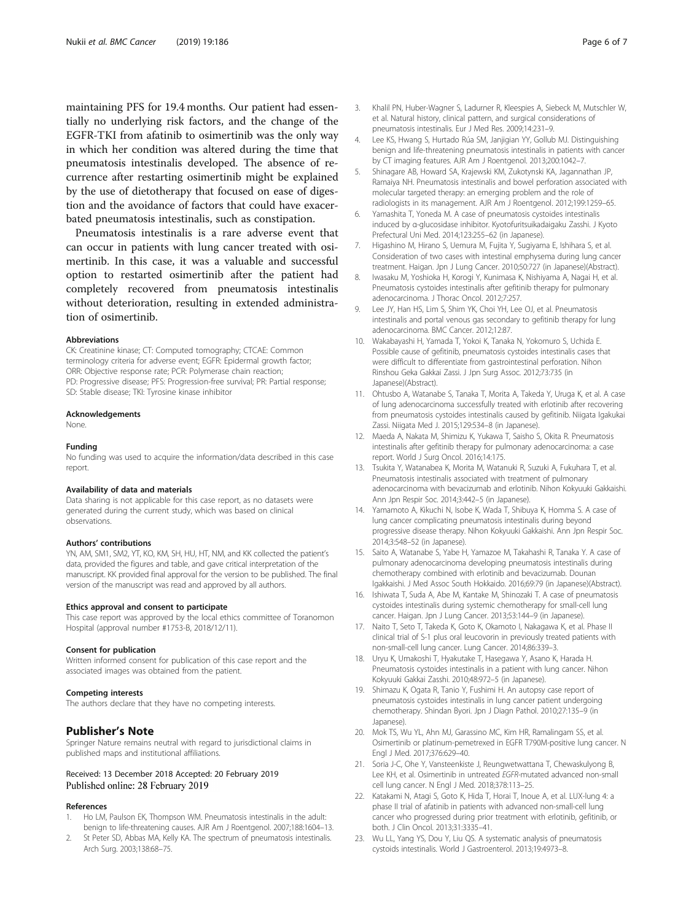<span id="page-5-0"></span>maintaining PFS for 19.4 months. Our patient had essentially no underlying risk factors, and the change of the EGFR-TKI from afatinib to osimertinib was the only way in which her condition was altered during the time that pneumatosis intestinalis developed. The absence of recurrence after restarting osimertinib might be explained by the use of dietotherapy that focused on ease of digestion and the avoidance of factors that could have exacerbated pneumatosis intestinalis, such as constipation.

Pneumatosis intestinalis is a rare adverse event that can occur in patients with lung cancer treated with osimertinib. In this case, it was a valuable and successful option to restarted osimertinib after the patient had completely recovered from pneumatosis intestinalis without deterioration, resulting in extended administration of osimertinib.

#### Abbreviations

CK: Creatinine kinase; CT: Computed tomography; CTCAE: Common terminology criteria for adverse event; EGFR: Epidermal growth factor; ORR: Objective response rate; PCR: Polymerase chain reaction; PD: Progressive disease; PFS: Progression-free survival; PR: Partial response; SD: Stable disease; TKI: Tyrosine kinase inhibitor

#### Acknowledgements

None.

#### Funding

No funding was used to acquire the information/data described in this case report.

#### Availability of data and materials

Data sharing is not applicable for this case report, as no datasets were generated during the current study, which was based on clinical observations.

#### Authors' contributions

YN, AM, SM1, SM2, YT, KO, KM, SH, HU, HT, NM, and KK collected the patient's data, provided the figures and table, and gave critical interpretation of the manuscript. KK provided final approval for the version to be published. The final version of the manuscript was read and approved by all authors.

#### Ethics approval and consent to participate

This case report was approved by the local ethics committee of Toranomon Hospital (approval number #1753-B, 2018/12/11).

#### Consent for publication

Written informed consent for publication of this case report and the associated images was obtained from the patient.

#### Competing interests

The authors declare that they have no competing interests.

# Publisher's Note

Springer Nature remains neutral with regard to jurisdictional claims in published maps and institutional affiliations.

# Received: 13 December 2018 Accepted: 20 February 2019 Published online: 28 February 2019

# References

- 1. Ho LM, Paulson EK, Thompson WM. Pneumatosis intestinalis in the adult: benign to life-threatening causes. AJR Am J Roentgenol. 2007;188:1604–13.
- St Peter SD, Abbas MA, Kelly KA. The spectrum of pneumatosis intestinalis. Arch Surg. 2003;138:68–75.
- 3. Khalil PN, Huber-Wagner S, Ladurner R, Kleespies A, Siebeck M, Mutschler W, et al. Natural history, clinical pattern, and surgical considerations of pneumatosis intestinalis. Eur J Med Res. 2009;14:231–9.
- Lee KS, Hwang S, Hurtado Rúa SM, Janjigian YY, Gollub MJ. Distinguishing benign and life-threatening pneumatosis intestinalis in patients with cancer by CT imaging features. AJR Am J Roentgenol. 2013;200:1042–7.
- 5. Shinagare AB, Howard SA, Krajewski KM, Zukotynski KA, Jagannathan JP, Ramaiya NH. Pneumatosis intestinalis and bowel perforation associated with molecular targeted therapy: an emerging problem and the role of radiologists in its management. AJR Am J Roentgenol. 2012;199:1259–65.
- 6. Yamashita T, Yoneda M. A case of pneumatosis cystoides intestinalis induced by α-glucosidase inhibitor. Kyotofuritsuikadaigaku Zasshi. J Kyoto Prefectural Uni Med. 2014;123:255–62 (in Japanese).
- 7. Higashino M, Hirano S, Uemura M, Fujita Y, Sugiyama E, Ishihara S, et al. Consideration of two cases with intestinal emphysema during lung cancer treatment. Haigan. Jpn J Lung Cancer. 2010;50:727 (in Japanese)(Abstract).
- 8. Iwasaku M, Yoshioka H, Korogi Y, Kunimasa K, Nishiyama A, Nagai H, et al. Pneumatosis cystoides intestinalis after gefitinib therapy for pulmonary adenocarcinoma. J Thorac Oncol. 2012;7:257.
- 9. Lee JY, Han HS, Lim S, Shim YK, Choi YH, Lee OJ, et al. Pneumatosis intestinalis and portal venous gas secondary to gefitinib therapy for lung adenocarcinoma. BMC Cancer. 2012;12:87.
- 10. Wakabayashi H, Yamada T, Yokoi K, Tanaka N, Yokomuro S, Uchida E. Possible cause of gefitinib, pneumatosis cystoides intestinalis cases that were difficult to differentiate from gastrointestinal perforation. Nihon Rinshou Geka Gakkai Zassi. J Jpn Surg Assoc. 2012;73:735 (in Japanese)(Abstract).
- 11. Ohtusbo A, Watanabe S, Tanaka T, Morita A, Takeda Y, Uruga K, et al. A case of lung adenocarcinoma successfully treated with erlotinib after recovering from pneumatosis cystoides intestinalis caused by gefitinib. Niigata Igakukai Zassi. Niigata Med J. 2015;129:534–8 (in Japanese).
- 12. Maeda A, Nakata M, Shimizu K, Yukawa T, Saisho S, Okita R. Pneumatosis intestinalis after gefitinib therapy for pulmonary adenocarcinoma: a case report. World J Surg Oncol. 2016;14:175.
- 13. Tsukita Y, Watanabea K, Morita M, Watanuki R, Suzuki A, Fukuhara T, et al. Pneumatosis intestinalis associated with treatment of pulmonary adenocarcinoma with bevacizumab and erlotinib. Nihon Kokyuuki Gakkaishi. Ann Jpn Respir Soc. 2014;3:442–5 (in Japanese).
- 14. Yamamoto A, Kikuchi N, Isobe K, Wada T, Shibuya K, Homma S. A case of lung cancer complicating pneumatosis intestinalis during beyond progressive disease therapy. Nihon Kokyuuki Gakkaishi. Ann Jpn Respir Soc. 2014;3:548–52 (in Japanese).
- 15. Saito A, Watanabe S, Yabe H, Yamazoe M, Takahashi R, Tanaka Y. A case of pulmonary adenocarcinoma developing pneumatosis intestinalis during chemotherapy combined with erlotinib and bevacizumab. Dounan Igakkaishi. J Med Assoc South Hokkaido. 2016;69:79 (in Japanese)(Abstract).
- 16. Ishiwata T, Suda A, Abe M, Kantake M, Shinozaki T. A case of pneumatosis cystoides intestinalis during systemic chemotherapy for small-cell lung cancer. Haigan. Jpn J Lung Cancer. 2013;53:144–9 (in Japanese).
- 17. Naito T, Seto T, Takeda K, Goto K, Okamoto I, Nakagawa K, et al. Phase II clinical trial of S-1 plus oral leucovorin in previously treated patients with non-small-cell lung cancer. Lung Cancer. 2014;86:339–3.
- 18. Uryu K, Umakoshi T, Hyakutake T, Hasegawa Y, Asano K, Harada H. Pneumatosis cystoides intestinalis in a patient with lung cancer. Nihon Kokyuuki Gakkai Zasshi. 2010;48:972–5 (in Japanese).
- 19. Shimazu K, Ogata R, Tanio Y, Fushimi H. An autopsy case report of pneumatosis cystoides intestinalis in lung cancer patient undergoing chemotherapy. Shindan Byori. Jpn J Diagn Pathol. 2010;27:135–9 (in Japanese).
- 20. Mok TS, Wu YL, Ahn MJ, Garassino MC, Kim HR, Ramalingam SS, et al. Osimertinib or platinum-pemetrexed in EGFR T790M-positive lung cancer. N Engl J Med. 2017;376:629–40.
- 21. Soria J-C, Ohe Y, Vansteenkiste J, Reungwetwattana T, Chewaskulyong B, Lee KH, et al. Osimertinib in untreated EGFR-mutated advanced non-small cell lung cancer. N Engl J Med. 2018;378:113–25.
- 22. Katakami N, Atagi S, Goto K, Hida T, Horai T, Inoue A, et al. LUX-lung 4: a phase II trial of afatinib in patients with advanced non-small-cell lung cancer who progressed during prior treatment with erlotinib, gefitinib, or both. J Clin Oncol. 2013;31:3335–41.
- 23. Wu LL, Yang YS, Dou Y, Liu QS. A systematic analysis of pneumatosis cystoids intestinalis. World J Gastroenterol. 2013;19:4973–8.